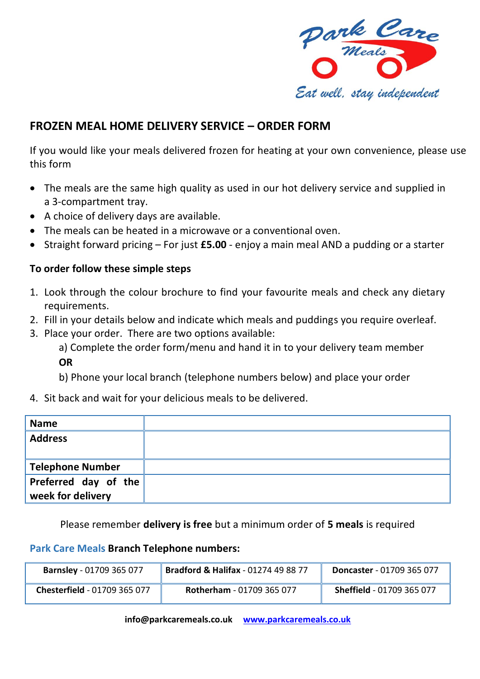

## **FROZEN MEAL HOME DELIVERY SERVICE – ORDER FORM**

If you would like your meals delivered frozen for heating at your own convenience, please use this form

- The meals are the same high quality as used in our hot delivery service and supplied in a 3-compartment tray.
- A choice of delivery days are available.
- The meals can be heated in a microwave or a conventional oven.
- Straight forward pricing For just **£5.00** enjoy a main meal AND a pudding or a starter

## **To order follow these simple steps**

- 1. Look through the colour brochure to find your favourite meals and check any dietary requirements.
- 2. Fill in your details below and indicate which meals and puddings you require overleaf.
- 3. Place your order. There are two options available:

a) Complete the order form/menu and hand it in to your delivery team member **OR**

b) Phone your local branch (telephone numbers below) and place your order

4. Sit back and wait for your delicious meals to be delivered.

| <b>Name</b>          |  |
|----------------------|--|
| <b>Address</b>       |  |
|                      |  |
| Telephone Number     |  |
| Preferred day of the |  |
| week for delivery    |  |

Please remember **delivery is free** but a minimum order of **5 meals** is required

## **Park Care Meals Branch Telephone numbers:**

| <b>Barnsley - 01709 365 077</b> | <b>Bradford &amp; Halifax - 01274 49 88 77</b> | <b>Doncaster</b> - 01709 365 077 |
|---------------------------------|------------------------------------------------|----------------------------------|
| Chesterfield - 01709 365 077    | <b>Rotherham - 01709 365 077</b>               | <b>Sheffield - 01709 365 077</b> |